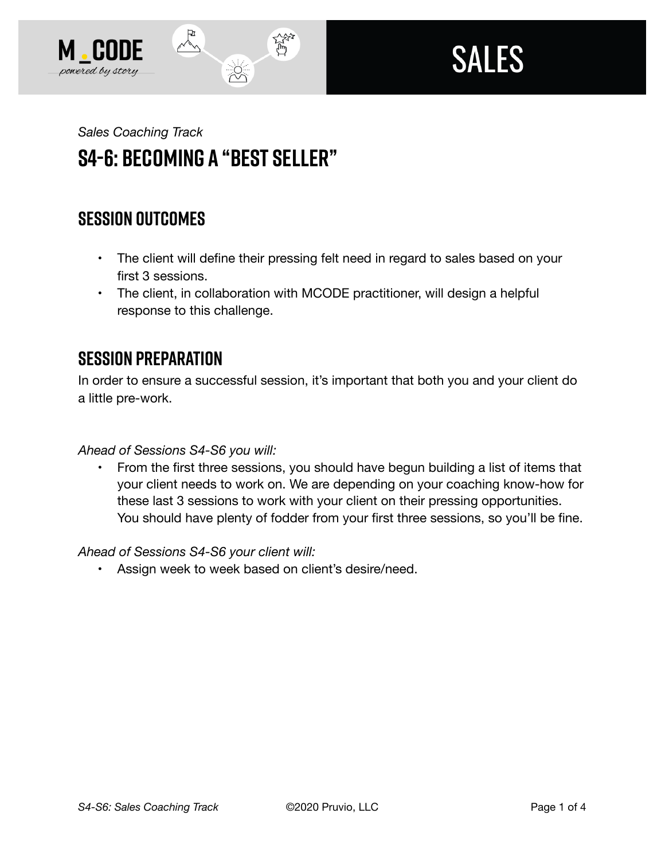



# *Sales Coaching Track*  **S4-6: Becoming a "Best Seller"**

 $\frac{1}{2}$ 

## **SESSION OUTCOMES**

- The client will define their pressing felt need in regard to sales based on your first 3 sessions.
- The client, in collaboration with MCODE practitioner, will design a helpful response to this challenge.

贷

### **SESSION PREPARATION**

In order to ensure a successful session, it's important that both you and your client do a little pre-work.

*Ahead of Sessions S4-S6 you will:* 

• From the first three sessions, you should have begun building a list of items that your client needs to work on. We are depending on your coaching know-how for these last 3 sessions to work with your client on their pressing opportunities. You should have plenty of fodder from your first three sessions, so you'll be fine.

#### *Ahead of Sessions S4-S6 your client will:*

• Assign week to week based on client's desire/need.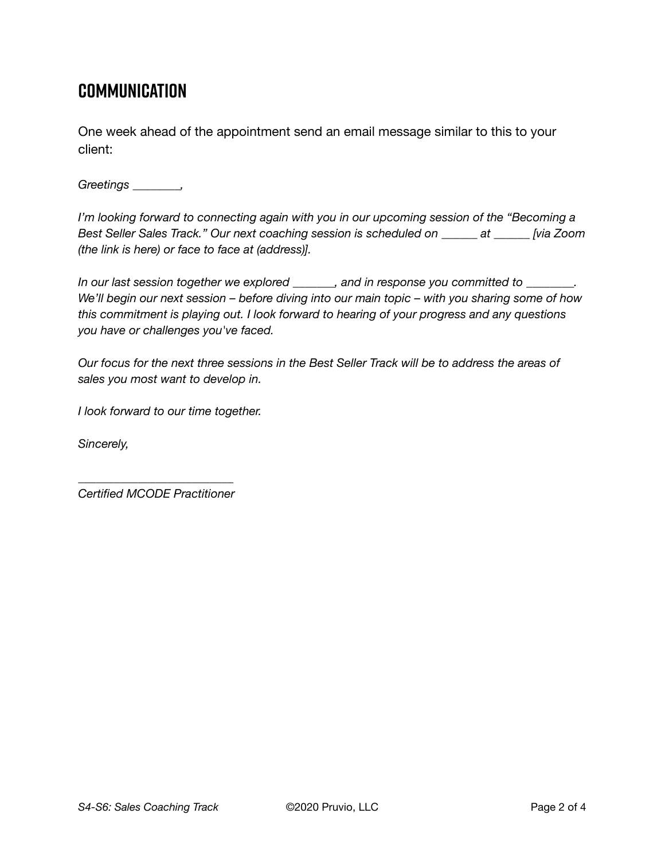### **Communication**

One week ahead of the appointment send an email message similar to this to your client:

*Greetings \_\_\_\_\_\_\_\_,* 

*I'm looking forward to connecting again with you in our upcoming session of the "Becoming a Best Seller Sales Track." Our next coaching session is scheduled on \_\_\_\_\_\_ at \_\_\_\_\_\_ [via Zoom (the link is here) or face to face at (address)].* 

*In our last session together we explored \_\_\_\_\_\_\_, and in response you committed to \_\_\_\_\_\_\_\_. We'll begin our next session – before diving into our main topic – with you sharing some of how this commitment is playing out. I look forward to hearing of your progress and any questions you have or challenges you've faced.* 

*Our focus for the next three sessions in the Best Seller Track will be to address the areas of sales you most want to develop in.* 

*I look forward to our time together.* 

*Sincerely,* 

*\_\_\_\_\_\_\_\_\_\_\_\_\_\_\_\_\_\_\_\_\_\_\_\_\_\_ Certified MCODE Practitioner*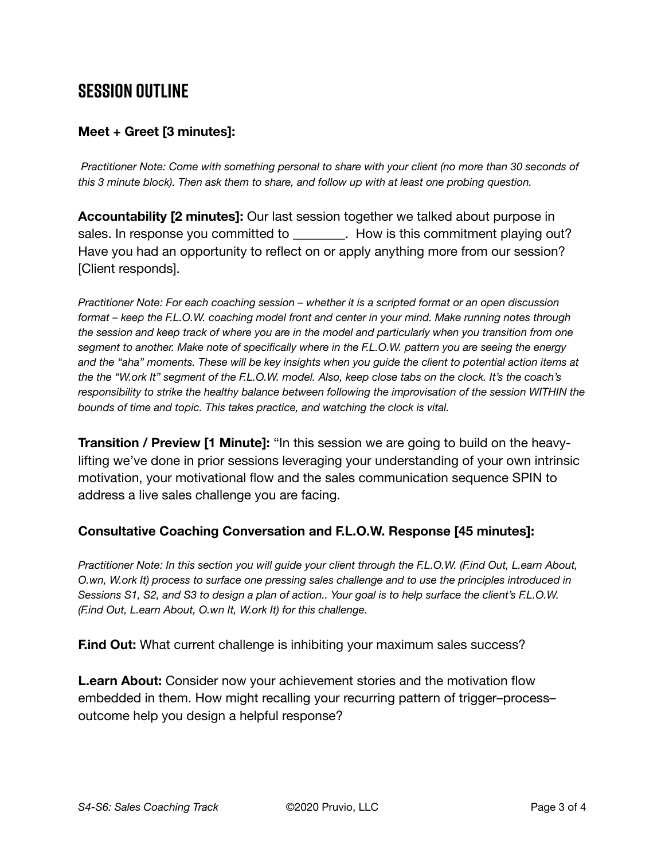### **SESSION OUTLINE**

#### **Meet + Greet [3 minutes]:**

*Practitioner Note: Come with something personal to share with your client (no more than 30 seconds of this 3 minute block). Then ask them to share, and follow up with at least one probing question.* 

**Accountability [2 minutes]:** Our last session together we talked about purpose in sales. In response you committed to **Example 20**. How is this commitment playing out? Have you had an opportunity to reflect on or apply anything more from our session? [Client responds].

*Practitioner Note: For each coaching session – whether it is a scripted format or an open discussion format – keep the F.L.O.W. coaching model front and center in your mind. Make running notes through the session and keep track of where you are in the model and particularly when you transition from one segment to another. Make note of specifically where in the F.L.O.W. pattern you are seeing the energy and the "aha" moments. These will be key insights when you guide the client to potential action items at the the "W.ork It" segment of the F.L.O.W. model. Also, keep close tabs on the clock. It's the coach's responsibility to strike the healthy balance between following the improvisation of the session WITHIN the bounds of time and topic. This takes practice, and watching the clock is vital.*

**Transition / Preview [1 Minute]:** "In this session we are going to build on the heavylifting we've done in prior sessions leveraging your understanding of your own intrinsic motivation, your motivational flow and the sales communication sequence SPIN to address a live sales challenge you are facing.

#### **Consultative Coaching Conversation and F.L.O.W. Response [45 minutes]:**

*Practitioner Note: In this section you will guide your client through the F.L.O.W. (F.ind Out, L.earn About, O.wn, W.ork It) process to surface one pressing sales challenge and to use the principles introduced in Sessions S1, S2, and S3 to design a plan of action.. Your goal is to help surface the client's F.L.O.W. (F.ind Out, L.earn About, O.wn It, W.ork It) for this challenge.*

**F.ind Out:** What current challenge is inhibiting your maximum sales success?

**L.earn About:** Consider now your achievement stories and the motivation flow embedded in them. How might recalling your recurring pattern of trigger–process– outcome help you design a helpful response?